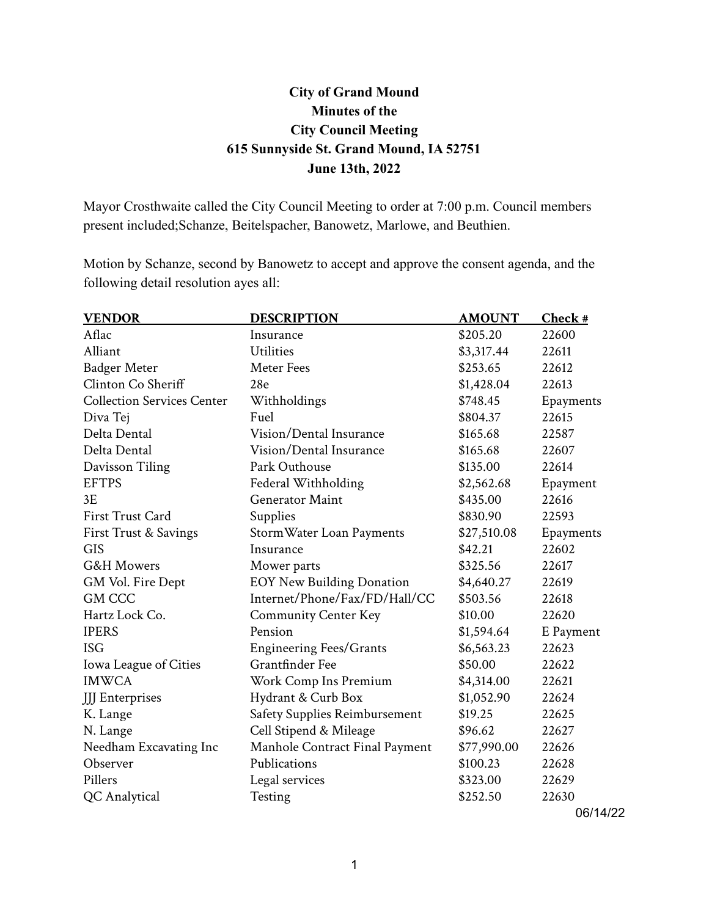## **City of Grand Mound Minutes of the City Council Meeting 615 Sunnyside St. Grand Mound, IA 52751 June 13th, 2022**

Mayor Crosthwaite called the City Council Meeting to order at 7:00 p.m. Council members present included;Schanze, Beitelspacher, Banowetz, Marlowe, and Beuthien.

Motion by Schanze, second by Banowetz to accept and approve the consent agenda, and the following detail resolution ayes all:

| <b>VENDOR</b>                     | <b>DESCRIPTION</b>             | <b>AMOUNT</b> | Check #   |
|-----------------------------------|--------------------------------|---------------|-----------|
| Aflac                             | Insurance                      | \$205.20      | 22600     |
| Alliant                           | <b>Utilities</b>               | \$3,317.44    | 22611     |
| <b>Badger Meter</b>               | <b>Meter Fees</b>              | \$253.65      | 22612     |
| Clinton Co Sheriff                | 28e                            | \$1,428.04    | 22613     |
| <b>Collection Services Center</b> | Withholdings                   | \$748.45      | Epayments |
| Diva Tej                          | Fuel                           | \$804.37      | 22615     |
| Delta Dental                      | Vision/Dental Insurance        | \$165.68      | 22587     |
| Delta Dental                      | Vision/Dental Insurance        | \$165.68      | 22607     |
| Davisson Tiling                   | Park Outhouse                  | \$135.00      | 22614     |
| <b>EFTPS</b>                      | Federal Withholding            | \$2,562.68    | Epayment  |
| 3E                                | Generator Maint                | \$435.00      | 22616     |
| First Trust Card                  | Supplies                       | \$830.90      | 22593     |
| First Trust & Savings             | Storm Water Loan Payments      | \$27,510.08   | Epayments |
| <b>GIS</b>                        | Insurance                      | \$42.21       | 22602     |
| <b>G&amp;H Mowers</b>             | Mower parts                    | \$325.56      | 22617     |
| GM Vol. Fire Dept                 | EOY New Building Donation      | \$4,640.27    | 22619     |
| <b>GM CCC</b>                     | Internet/Phone/Fax/FD/Hall/CC  | \$503.56      | 22618     |
| Hartz Lock Co.                    | <b>Community Center Key</b>    | \$10.00       | 22620     |
| <b>IPERS</b>                      | Pension                        | \$1,594.64    | E Payment |
| <b>ISG</b>                        | <b>Engineering Fees/Grants</b> | \$6,563.23    | 22623     |
| Iowa League of Cities             | Grantfinder Fee                | \$50.00       | 22622     |
| <b>IMWCA</b>                      | Work Comp Ins Premium          | \$4,314.00    | 22621     |
| <b>JJJ</b> Enterprises            | Hydrant & Curb Box             | \$1,052.90    | 22624     |
| K. Lange                          | Safety Supplies Reimbursement  | \$19.25       | 22625     |
| N. Lange                          | Cell Stipend & Mileage         | \$96.62       | 22627     |
| Needham Excavating Inc            | Manhole Contract Final Payment | \$77,990.00   | 22626     |
| Observer                          | Publications                   | \$100.23      | 22628     |
| Pillers                           | Legal services                 | \$323.00      | 22629     |
| QC Analytical                     | Testing                        | \$252.50      | 22630     |

06/14/22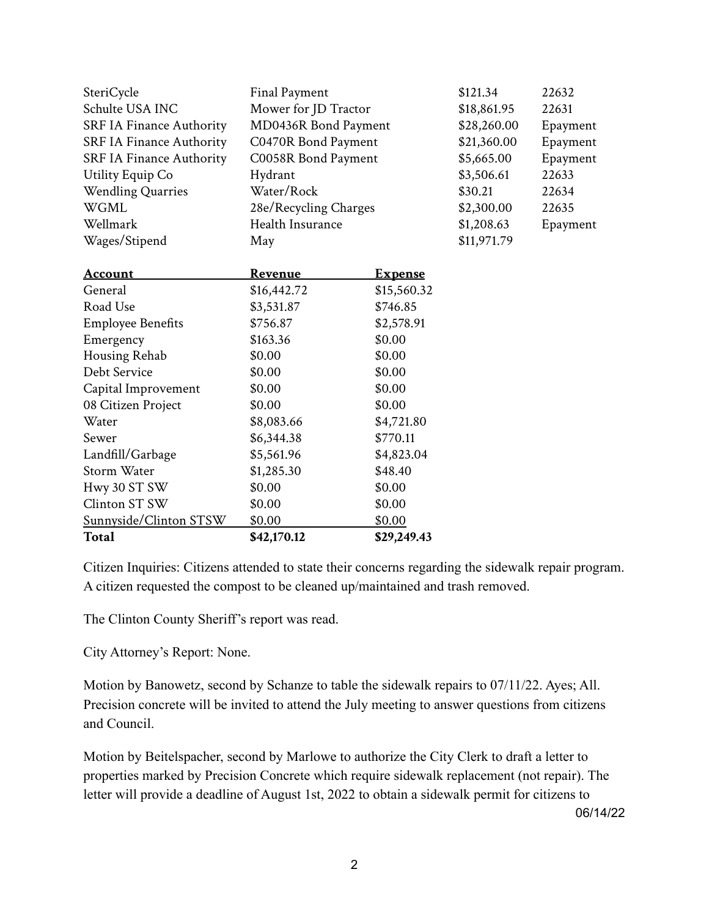| SteriCycle               | <b>Final Payment</b>  |                | \$121.34    | 22632    |
|--------------------------|-----------------------|----------------|-------------|----------|
| Schulte USA INC          | Mower for JD Tractor  |                | \$18,861.95 | 22631    |
| SRF IA Finance Authority | MD0436R Bond Payment  |                | \$28,260.00 | Epayment |
| SRF IA Finance Authority | C0470R Bond Payment   |                | \$21,360.00 | Epayment |
| SRF IA Finance Authority | C0058R Bond Payment   |                | \$5,665.00  | Epayment |
| Utility Equip Co         | Hydrant               |                | \$3,506.61  | 22633    |
| <b>Wendling Quarries</b> | Water/Rock            |                | \$30.21     | 22634    |
| <b>WGML</b>              | 28e/Recycling Charges |                | \$2,300.00  | 22635    |
| Wellmark                 | Health Insurance      |                | \$1,208.63  | Epayment |
| Wages/Stipend            | May                   |                | \$11,971.79 |          |
|                          |                       |                |             |          |
| <b>Account</b>           | <b>Revenue</b>        | <u>Expense</u> |             |          |
| General                  | \$16,442.72           | \$15,560.32    |             |          |
| Road Use                 | \$3,531.87            | \$746.85       |             |          |
| <b>Employee Benefits</b> | \$756.87              | \$2,578.91     |             |          |
| Emergency                | \$163.36              | \$0.00         |             |          |
| Housing Rehab            | \$0.00                | \$0.00         |             |          |
| Debt Service             | \$0.00                | \$0.00         |             |          |
| Capital Improvement      | \$0.00                | \$0.00         |             |          |
| 08 Citizen Project       | \$0.00                | \$0.00         |             |          |
| Water                    | \$8,083.66            | \$4,721.80     |             |          |
| Sewer                    | \$6,344.38            | \$770.11       |             |          |
| Landfill/Garbage         | \$5,561.96            | \$4,823.04     |             |          |
| Storm Water              | \$1,285.30            | \$48.40        |             |          |
| Hwy 30 ST SW             | \$0.00                | \$0.00         |             |          |
| Clinton ST SW            | \$0.00                | \$0.00         |             |          |
| Sunnyside/Clinton STSW   | \$0.00                | \$0.00         |             |          |
| Total                    | \$42,170.12           | \$29,249.43    |             |          |

Citizen Inquiries: Citizens attended to state their concerns regarding the sidewalk repair program. A citizen requested the compost to be cleaned up/maintained and trash removed.

The Clinton County Sheriff's report was read.

City Attorney's Report: None.

Motion by Banowetz, second by Schanze to table the sidewalk repairs to 07/11/22. Ayes; All. Precision concrete will be invited to attend the July meeting to answer questions from citizens and Council.

Motion by Beitelspacher, second by Marlowe to authorize the City Clerk to draft a letter to properties marked by Precision Concrete which require sidewalk replacement (not repair). The letter will provide a deadline of August 1st, 2022 to obtain a sidewalk permit for citizens to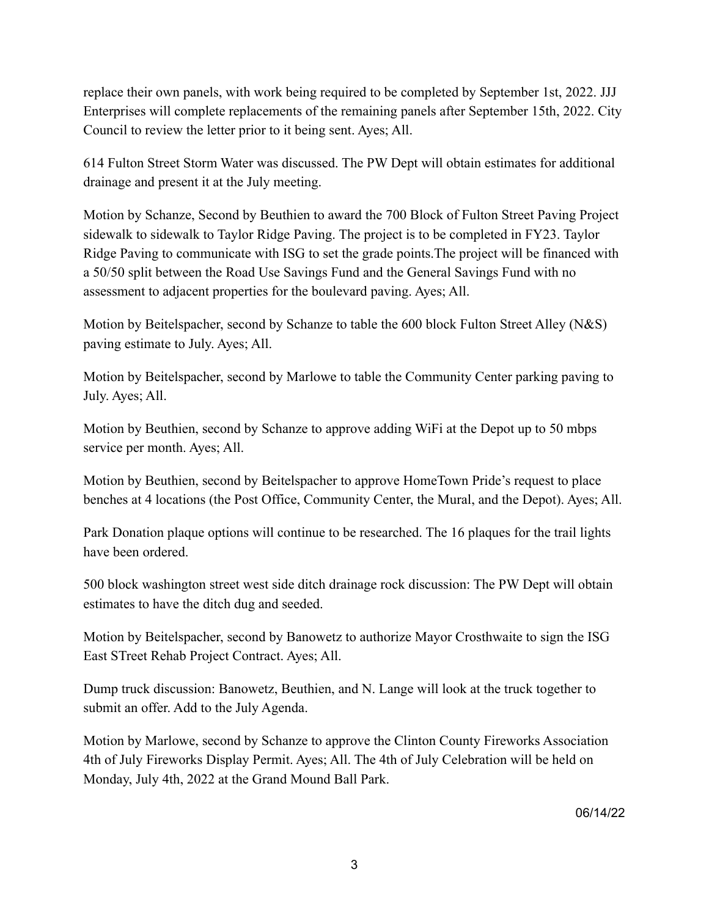replace their own panels, with work being required to be completed by September 1st, 2022. JJJ Enterprises will complete replacements of the remaining panels after September 15th, 2022. City Council to review the letter prior to it being sent. Ayes; All.

614 Fulton Street Storm Water was discussed. The PW Dept will obtain estimates for additional drainage and present it at the July meeting.

Motion by Schanze, Second by Beuthien to award the 700 Block of Fulton Street Paving Project sidewalk to sidewalk to Taylor Ridge Paving. The project is to be completed in FY23. Taylor Ridge Paving to communicate with ISG to set the grade points.The project will be financed with a 50/50 split between the Road Use Savings Fund and the General Savings Fund with no assessment to adjacent properties for the boulevard paving. Ayes; All.

Motion by Beitelspacher, second by Schanze to table the 600 block Fulton Street Alley (N&S) paving estimate to July. Ayes; All.

Motion by Beitelspacher, second by Marlowe to table the Community Center parking paving to July. Ayes; All.

Motion by Beuthien, second by Schanze to approve adding WiFi at the Depot up to 50 mbps service per month. Ayes; All.

Motion by Beuthien, second by Beitelspacher to approve HomeTown Pride's request to place benches at 4 locations (the Post Office, Community Center, the Mural, and the Depot). Ayes; All.

Park Donation plaque options will continue to be researched. The 16 plaques for the trail lights have been ordered.

500 block washington street west side ditch drainage rock discussion: The PW Dept will obtain estimates to have the ditch dug and seeded.

Motion by Beitelspacher, second by Banowetz to authorize Mayor Crosthwaite to sign the ISG East STreet Rehab Project Contract. Ayes; All.

Dump truck discussion: Banowetz, Beuthien, and N. Lange will look at the truck together to submit an offer. Add to the July Agenda.

Motion by Marlowe, second by Schanze to approve the Clinton County Fireworks Association 4th of July Fireworks Display Permit. Ayes; All. The 4th of July Celebration will be held on Monday, July 4th, 2022 at the Grand Mound Ball Park.